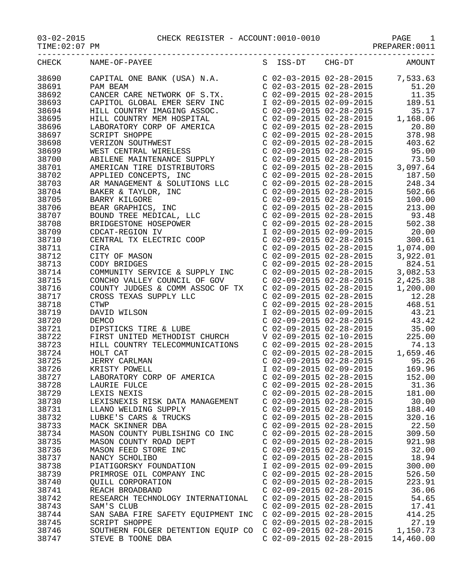03-02-2015 CHECK REGISTER - ACCOUNT:0010-0010 PAGE 1

 $TIME:02:07$  PM -----------------------------------------------------------------------------------

| 1111 - 02 - 07 <b>111</b> |                              |                           |        |          |
|---------------------------|------------------------------|---------------------------|--------|----------|
| CHECK                     | NAME-OF-PAYEE                | S ISS-DT                  | CHG-DT | AMOUNT   |
| 38690                     | CAPITAL ONE BANK (USA) N.A.  | $C$ 02-03-2015 02-28-2015 |        | 7,533.63 |
| 38691                     | PAM BEAM                     | $C$ 02-03-2015 02-28-2015 |        | 51.20    |
| 38692                     | CANCER CARE NETWORK OF S.TX. | $C$ 02-09-2015 02-28-2015 |        | 11.35    |
| 38693                     | CAPITOL GLOBAL EMER SERV INC | I 02-09-2015 02-09-2015   |        | 189.51   |
| 38694                     | HILL COUNTRY IMAGING ASSOC.  | $C$ 02-09-2015 02-28-2015 |        | 35.17    |
| 38695                     | HILL COUNTRY MEM HOSPITAL    | $C$ 02-09-2015 02-28-2015 |        | 1,168.06 |
| 38696                     | LABORATORY CORP OF AMERICA   | $C$ 02-09-2015 02-28-2015 |        | 20.80    |
| 38697                     | SCRIPT SHOPPE                | $C$ 02-09-2015 02-28-2015 |        | 378.98   |

| <b>30090</b> | HADORATORI CORP OF AMERICA                                                                                                                                                                                                               |                                                                                                                                                                                                                                  |
|--------------|------------------------------------------------------------------------------------------------------------------------------------------------------------------------------------------------------------------------------------------|----------------------------------------------------------------------------------------------------------------------------------------------------------------------------------------------------------------------------------|
| 38697        | <b>SCRIPT SHOPPE</b>                                                                                                                                                                                                                     | $C$ 02-09-2015 02-28-2015 20.00<br>C 02-09-2015 02-28-2015 378.98                                                                                                                                                                |
| 38698        |                                                                                                                                                                                                                                          | $C$ 02-09-2015 02-28-2015 403.62                                                                                                                                                                                                 |
| 38699        |                                                                                                                                                                                                                                          | C 02-09-2015 02-28-2015 95.00                                                                                                                                                                                                    |
| 38700        | SCRIPT SHOPPE<br>VERIZON SOUTHWEST<br>WEST CENTRAL WIRELESS<br>ABILENE MAINTENANCE SUPPLY                                                                                                                                                |                                                                                                                                                                                                                                  |
| 38701        | AMERICAN TIRE DISTRIBUTORS                                                                                                                                                                                                               | $\begin{array}{cccc} \text{C} & 02-09-2015 & 02-28-2015 & 73.50 \\ \text{C} & 02-09-2015 & 02-28-2015 & 3,097.64 \\ \text{C} & 02-09-2015 & 02-28-2015 & 187.50 \end{array}$                                                     |
| 38702        | APPLIED CONCEPTS, INC                                                                                                                                                                                                                    |                                                                                                                                                                                                                                  |
| 38703        | AR MANAGEMENT & SOLUTIONS LLC                                                                                                                                                                                                            | $C$ 02-09-2015 02-28-2015<br>248.34                                                                                                                                                                                              |
| 38704        |                                                                                                                                                                                                                                          | $C$ 02-09-2015 02-28-2015<br>502.66                                                                                                                                                                                              |
| 38705        |                                                                                                                                                                                                                                          | $C$ 02-09-2015 02-28-2015<br>100.00                                                                                                                                                                                              |
| 38706        |                                                                                                                                                                                                                                          | 213.00                                                                                                                                                                                                                           |
| 38707        |                                                                                                                                                                                                                                          | C 02-09-2015 02-28-2015<br>C 02-09-2015 02-28-2015<br>93.48                                                                                                                                                                      |
| 38708        |                                                                                                                                                                                                                                          | $C$ 02-09-2015 02-28-2015 502.38                                                                                                                                                                                                 |
| 38709        |                                                                                                                                                                                                                                          | I 02-09-2015 02-09-2015 20.00                                                                                                                                                                                                    |
|              |                                                                                                                                                                                                                                          |                                                                                                                                                                                                                                  |
| 38710        |                                                                                                                                                                                                                                          | 300.61                                                                                                                                                                                                                           |
| 38711        |                                                                                                                                                                                                                                          | $C$ 02-09-2015 02-28-2015<br>$C$ 02-09-2015 02-28-2015<br>$C$ 02-09-2015 02-28-2015<br>1,074.00                                                                                                                                  |
| 38712        | BAKER & TAYLOR, INC<br>BARRY KILGORE<br>BEAR GRAPHICS, INC<br>BOUND TREE MEDICAL, LLC<br>BRIDGESTONE HOSEPOWER<br>CDCAT-REGION IV<br>CENTRAL TX ELECTRIC COOP<br>CIRA<br>CITY OF MASON<br>CODY BRIDGES<br>COMMUNITY SERVICE & SUDDIV INC | C 02-09-2015 02-28-2015<br>C 02-09-2015 02-28-2015<br>3,922.01                                                                                                                                                                   |
| 38713        |                                                                                                                                                                                                                                          | 824.51                                                                                                                                                                                                                           |
| 38714        | COMMUNITY SERVICE & SUPPLY INC                                                                                                                                                                                                           | $C$ 02-09-2015 02-28-2015<br>3,082.53                                                                                                                                                                                            |
| 38715        | CONCHO VALLEY COUNCIL OF GOV                                                                                                                                                                                                             | $C$ 02-09-2015 02-28-2015 2,425.38                                                                                                                                                                                               |
| 38716        | COUNTY JUDGES & COMM ASSOC OF TX                                                                                                                                                                                                         | $C$ 02-09-2015 02-28-2015<br>1,200.00                                                                                                                                                                                            |
| 38717        |                                                                                                                                                                                                                                          | C 02-09-2015 02-28-2015<br>C 02-09-2015 02-28-2015<br>12.28<br>12.28<br>468.51                                                                                                                                                   |
| 38718        |                                                                                                                                                                                                                                          |                                                                                                                                                                                                                                  |
| 38719        |                                                                                                                                                                                                                                          | $102-09-201502-09-2015$<br>43.21                                                                                                                                                                                                 |
| 38720        | CROSS TEXAS SUPPLY LLC<br>CTWP<br>DAVID WILSON<br>DEMCO<br>DIPSTICKS TIRE & LUBE                                                                                                                                                         | $C$ 02-09-2015 02-28-2015<br>43.42                                                                                                                                                                                               |
| 38721        |                                                                                                                                                                                                                                          | $C$ 02-09-2015 02-28-2015 35.00                                                                                                                                                                                                  |
| 38722        | FIRST UNITED METHODIST CHURCH                                                                                                                                                                                                            | V 02-09-2015 02-10-2015<br>225.00                                                                                                                                                                                                |
| 38723        | HILL COUNTRY TELECOMMUNICATIONS                                                                                                                                                                                                          | 74.13<br>$C$ 02-09-2015 02-28-2015                                                                                                                                                                                               |
| 38724        | HOLT CAT<br>JERRY CARLMAN<br>KRISTY POWELL<br>LABORATORY CORP OF AMERICA                                                                                                                                                                 | $C$ 02-09-2015 02-28-2015<br>1,659.46                                                                                                                                                                                            |
| 38725        |                                                                                                                                                                                                                                          | $C$ 02-09-2015 02-28-2015<br>95.26                                                                                                                                                                                               |
| 38726        |                                                                                                                                                                                                                                          | I 02-09-2015 02-09-2015 169.96                                                                                                                                                                                                   |
| 38727        |                                                                                                                                                                                                                                          | $C$ 02-09-2015 02-28-2015<br>152.00                                                                                                                                                                                              |
| 38728        | LAURIE FULCE                                                                                                                                                                                                                             | 31.36                                                                                                                                                                                                                            |
| 38729        | LEXIS NEXIS                                                                                                                                                                                                                              | C 02-09-2015 02-28-2015<br>C 02-09-2015 02-28-2015<br>181.00                                                                                                                                                                     |
| 38730        | LEXISNEXIS RISK DATA MANAGEMENT                                                                                                                                                                                                          | $C$ 02-09-2015 02-28-2015<br>30.00                                                                                                                                                                                               |
| 38731        |                                                                                                                                                                                                                                          | $C$ 02-09-2015 02-28-2015<br>188.40                                                                                                                                                                                              |
| 38732        | LLANO WELDING SUPPLY<br>LUBKE'S CARS & TRUCKS<br>WAST CULUNID ROL                                                                                                                                                                        | $C$ 02-09-2015 02-28-2015<br>320.16                                                                                                                                                                                              |
| 38733        | MACK SKINNER DBA                                                                                                                                                                                                                         |                                                                                                                                                                                                                                  |
| 38734        | MASON COUNTY PUBLISHING CO INC                                                                                                                                                                                                           |                                                                                                                                                                                                                                  |
| 38735        | MASON COUNTY ROAD DEPT                                                                                                                                                                                                                   | $\begin{array}{llll} \mbox{C} & 02-09-2015 & 02-28-2015 & 22.50 \\ \mbox{C} & 02-09-2015 & 02-28-2015 & 309.50 \\ \mbox{C} & 02-09-2015 & 02-28-2015 & 921.98 \end{array}$<br>C 02-09-2015 02-28-2015<br>C 02-09-2015 02-28-2015 |
| 38736        | MASON FEED STORE INC                                                                                                                                                                                                                     | $C$ 02-09-2015 02-28-2015<br>32.00                                                                                                                                                                                               |
| 38737        | NANCY SCHOLIBO                                                                                                                                                                                                                           | $C$ 02-09-2015 02-28-2015<br>18.94                                                                                                                                                                                               |
| 38738        | PIATIGORSKY FOUNDATION                                                                                                                                                                                                                   | I 02-09-2015 02-09-2015<br>300.00                                                                                                                                                                                                |
| 38739        | PRIMROSE OIL COMPANY INC                                                                                                                                                                                                                 | $C$ 02-09-2015 02-28-2015<br>526.50                                                                                                                                                                                              |
| 38740        | QUILL CORPORATION                                                                                                                                                                                                                        | $C$ 02-09-2015 02-28-2015<br>223.91                                                                                                                                                                                              |
| 38741        | REACH BROADBAND                                                                                                                                                                                                                          | C 02-09-2015 02-28-2015<br>36.06                                                                                                                                                                                                 |
| 38742        | RESEARCH TECHNOLOGY INTERNATIONAL                                                                                                                                                                                                        | $C$ 02-09-2015 02-28-2015<br>54.65                                                                                                                                                                                               |
| 38743        | SAM'S CLUB                                                                                                                                                                                                                               | $C$ 02-09-2015 02-28-2015<br>17.41                                                                                                                                                                                               |
| 38744        | SAN SABA FIRE SAFETY EQUIPMENT INC                                                                                                                                                                                                       | $C$ 02-09-2015 02-28-2015<br>414.25                                                                                                                                                                                              |
|              |                                                                                                                                                                                                                                          | $C$ 02-09-2015 02-28-2015<br>27.19                                                                                                                                                                                               |
| 38745        | SCRIPT SHOPPE                                                                                                                                                                                                                            |                                                                                                                                                                                                                                  |
| 38746        | SOUTHERN FOLGER DETENTION EQUIP CO                                                                                                                                                                                                       | C 02-09-2015 02-28-2015<br>1,150.73                                                                                                                                                                                              |
| 38747        | STEVE B TOONE DBA                                                                                                                                                                                                                        | $C$ 02-09-2015 02-28-2015<br>14,460.00                                                                                                                                                                                           |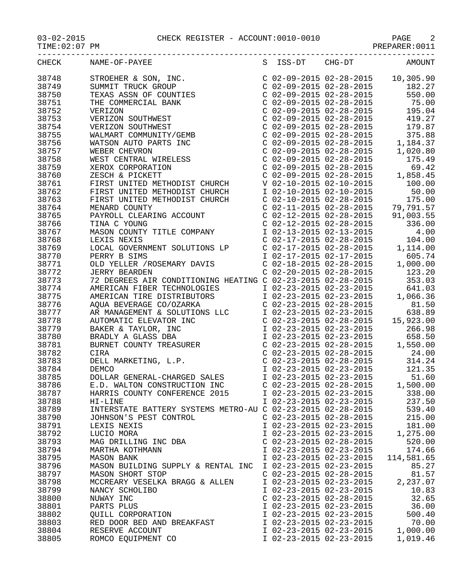-----------------------------------------------------------------------------------

| $03 - 02 - 2015$ |  |  |  |  |  |  |
|------------------|--|--|--|--|--|--|
|------------------|--|--|--|--|--|--|

PAGE 2<br>PREPARER:0011

| CHECK | NAME-OF-PAYEE<br>STROEHER & SON, INC.<br>STROEHER & SON, INC.<br>TEXAS ASSN OF COUNTIES<br>TEE COMMERCIAL BANK<br>VERIZON SOUTHWEST<br>VERIZON SOUTHWEST<br>VERIZON SOUTHWEST<br>WALMART COMMUNITY/GEMB<br>WATSON AUTO PARTS INC<br>WEBER CHEVRON<br>WEST CENTRAL W | S ISS-DT                  | $CHG-DT$                                                                         | AMOUNT                                                                                                                                                                                |
|-------|---------------------------------------------------------------------------------------------------------------------------------------------------------------------------------------------------------------------------------------------------------------------|---------------------------|----------------------------------------------------------------------------------|---------------------------------------------------------------------------------------------------------------------------------------------------------------------------------------|
| 38748 |                                                                                                                                                                                                                                                                     |                           |                                                                                  | $C$ 02-09-2015 02-28-2015 10,305.90                                                                                                                                                   |
| 38749 |                                                                                                                                                                                                                                                                     |                           | C 02-09-2015 02-28-2015                                                          | 182.27                                                                                                                                                                                |
| 38750 |                                                                                                                                                                                                                                                                     |                           | $C$ 02-09-2015 02-28-2015                                                        | 550.00                                                                                                                                                                                |
| 38751 |                                                                                                                                                                                                                                                                     |                           |                                                                                  |                                                                                                                                                                                       |
| 38752 |                                                                                                                                                                                                                                                                     |                           |                                                                                  | $\left( \begin{array}{ccc} C & 02-09-2015 & 02-28-2015 & 75.00 \\ C & 02-09-2015 & 02-28-2015 & 195.04 \\ C & 02-09-2015 & 02-28-2015 & 419.27 \end{array} \right)$                   |
| 38753 |                                                                                                                                                                                                                                                                     |                           |                                                                                  |                                                                                                                                                                                       |
| 38754 |                                                                                                                                                                                                                                                                     |                           |                                                                                  | C 02-09-2015 02-28-2015 179.87                                                                                                                                                        |
| 38755 |                                                                                                                                                                                                                                                                     |                           |                                                                                  |                                                                                                                                                                                       |
|       |                                                                                                                                                                                                                                                                     |                           |                                                                                  |                                                                                                                                                                                       |
| 38756 |                                                                                                                                                                                                                                                                     |                           |                                                                                  | C 02-09-2015 02-28-2015<br>C 02-09-2015 02-28-2015 1,184.37<br>C 02-09-2015 02-28-2015 1,020.80<br>C 02-09-2015 02-28-2015 1,020.80                                                   |
| 38757 |                                                                                                                                                                                                                                                                     |                           |                                                                                  |                                                                                                                                                                                       |
| 38758 |                                                                                                                                                                                                                                                                     |                           |                                                                                  |                                                                                                                                                                                       |
| 38759 |                                                                                                                                                                                                                                                                     |                           | $C$ 02-09-2015 02-28-2015                                                        | 69.42                                                                                                                                                                                 |
| 38760 |                                                                                                                                                                                                                                                                     |                           |                                                                                  | $C$ 02-09-2015 02-28-2015 1,858.45                                                                                                                                                    |
| 38761 |                                                                                                                                                                                                                                                                     | V 02-10-2015 02-10-2015   |                                                                                  | 100.00                                                                                                                                                                                |
| 38762 | FIRST UNITED METHODIST CHURCH<br>FIRST UNITED METHODIST CHURCH<br>MENARD COUNTY                                                                                                                                                                                     |                           | I 02-10-2015 02-10-2015<br>C 02-10-2015 02-28-2015<br>C 02-11-2015 02-28-2015 79 | 50.00                                                                                                                                                                                 |
| 38763 |                                                                                                                                                                                                                                                                     |                           |                                                                                  | 175.00                                                                                                                                                                                |
| 38764 |                                                                                                                                                                                                                                                                     |                           |                                                                                  | 79,791.57                                                                                                                                                                             |
| 38765 | PAYROLL CLEARING ACCOUNT<br>TINA C YOUNG                                                                                                                                                                                                                            | $C$ 02-12-2015 02-28-2015 |                                                                                  | 91,003.55                                                                                                                                                                             |
| 38766 | TINA C YOUNG                                                                                                                                                                                                                                                        | $C$ 02-12-2015 02-28-2015 |                                                                                  | 336.00                                                                                                                                                                                |
| 38767 | MASON COUNTY TITLE COMPANY                                                                                                                                                                                                                                          | I 02-13-2015 02-13-2015   |                                                                                  | 4.00                                                                                                                                                                                  |
| 38768 | LEXIS NEXIS                                                                                                                                                                                                                                                         |                           | $C$ 02-17-2015 02-28-2015                                                        | 104.00                                                                                                                                                                                |
| 38769 | LOCAL GOVERNMENT SOLUTIONS LP<br>PERRY B SIMS                                                                                                                                                                                                                       |                           |                                                                                  |                                                                                                                                                                                       |
| 38770 | PERRY B SIMS                                                                                                                                                                                                                                                        |                           |                                                                                  | $\begin{array}{cccccc} \text{C} & 02-17-2015 & 02-28-2015 & & 104.00 \\ \text{C} & 02-17-2015 & 02-28-2015 & & 1,114.00 \\ \text{I} & 02-17-2015 & 02-17-2015 & & 605.74 \end{array}$ |
| 38771 | ------ - - -<br>OLD YELLER /ROSEMARY DAVIS<br>JERRY BEARDEN                                                                                                                                                                                                         |                           |                                                                                  | $C$ 02-18-2015 02-28-2015 1,000.00                                                                                                                                                    |
| 38772 |                                                                                                                                                                                                                                                                     |                           | $C$ 02-20-2015 02-28-2015                                                        | 123.20                                                                                                                                                                                |
| 38773 |                                                                                                                                                                                                                                                                     |                           |                                                                                  | 353.03                                                                                                                                                                                |
| 38774 |                                                                                                                                                                                                                                                                     |                           |                                                                                  | 641.03                                                                                                                                                                                |
| 38775 |                                                                                                                                                                                                                                                                     |                           |                                                                                  | 1,066.36                                                                                                                                                                              |
| 38776 | 02-28-2015<br>72 DEGREES AIR CONDITIONING HEATING C 02-23-2015 02-28-2015<br>AMERICAN TIRE DISTRIBUTORS<br>AMERICAN TIRE DISTRIBUTORS<br>AQUA BEVERAGE CO/OZARKA<br>AQUA BEVERAGE CO/OZARKA<br>AR MANAGEMENT & SOLUTIONS LLC<br>I 02-23-2015                        |                           | $C$ 02-23-2015 02-28-2015                                                        | 81.50                                                                                                                                                                                 |
| 38777 |                                                                                                                                                                                                                                                                     |                           |                                                                                  | 638.89                                                                                                                                                                                |
| 38778 |                                                                                                                                                                                                                                                                     |                           |                                                                                  | 15,923.00                                                                                                                                                                             |
| 38779 |                                                                                                                                                                                                                                                                     |                           |                                                                                  | 266.98                                                                                                                                                                                |
| 38780 |                                                                                                                                                                                                                                                                     |                           |                                                                                  | 658.50                                                                                                                                                                                |
| 38781 |                                                                                                                                                                                                                                                                     |                           |                                                                                  | $C$ 02-23-2015 02-28-2015 1,550.00                                                                                                                                                    |
| 38782 |                                                                                                                                                                                                                                                                     |                           | $C$ 02-23-2015 02-28-2015                                                        | 24.00                                                                                                                                                                                 |
| 38783 | DELL MARKETING, L.P.<br>DEMCO<br>DOLLAR CENTERAL                                                                                                                                                                                                                    |                           |                                                                                  |                                                                                                                                                                                       |
|       |                                                                                                                                                                                                                                                                     |                           | $C$ 02-23-2015 02-28-2015                                                        | 314.24                                                                                                                                                                                |
| 38784 | DEMCO<br>DOLLAR GENERAL-CHARGED SALES<br>- - ''''''''''' CONSTRICTION INC                                                                                                                                                                                           |                           | I 02-23-2015 02-23-2015<br>I 02-23-2015 02-23-2015                               | 121.35<br>$51.60$<br>$7.51.60$                                                                                                                                                        |
| 38785 |                                                                                                                                                                                                                                                                     |                           |                                                                                  |                                                                                                                                                                                       |
| 38786 | E.D. WALTON CONSTRUCTION INC                                                                                                                                                                                                                                        | $C$ 02-23-2015 02-28-2015 |                                                                                  |                                                                                                                                                                                       |
| 38787 | HARRIS COUNTY CONFERENCE 2015                                                                                                                                                                                                                                       | I 02-23-2015 02-23-2015   |                                                                                  | 338.00                                                                                                                                                                                |
| 38788 | HI-LINE                                                                                                                                                                                                                                                             | I 02-23-2015 02-23-2015   |                                                                                  | 237.50                                                                                                                                                                                |
| 38789 | INTERSTATE BATTERY SYSTEMS METRO-AU C 02-23-2015 02-28-2015                                                                                                                                                                                                         |                           |                                                                                  | 539.40                                                                                                                                                                                |
| 38790 | JOHNSON'S PEST CONTROL                                                                                                                                                                                                                                              | C 02-23-2015 02-28-2015   |                                                                                  | 215.00                                                                                                                                                                                |
| 38791 | LEXIS NEXIS                                                                                                                                                                                                                                                         | I 02-23-2015 02-23-2015   |                                                                                  | 181.00                                                                                                                                                                                |
| 38792 | LUCIO MORA                                                                                                                                                                                                                                                          | I 02-23-2015 02-23-2015   |                                                                                  | 1,275.00                                                                                                                                                                              |
| 38793 | MAG DRILLING INC DBA                                                                                                                                                                                                                                                | $C$ 02-23-2015 02-28-2015 |                                                                                  | 520.00                                                                                                                                                                                |
| 38794 | MARTHA KOTHMANN                                                                                                                                                                                                                                                     | I 02-23-2015 02-23-2015   |                                                                                  | 174.66                                                                                                                                                                                |
| 38795 | <b>MASON BANK</b>                                                                                                                                                                                                                                                   | I 02-23-2015 02-23-2015   |                                                                                  | 114,581.65                                                                                                                                                                            |
| 38796 | MASON BUILDING SUPPLY & RENTAL INC                                                                                                                                                                                                                                  | I 02-23-2015 02-23-2015   |                                                                                  | 85.27                                                                                                                                                                                 |
| 38797 | MASON SHORT STOP                                                                                                                                                                                                                                                    | $C$ 02-23-2015 02-28-2015 |                                                                                  | 81.57                                                                                                                                                                                 |
| 38798 | MCCREARY VESELKA BRAGG & ALLEN                                                                                                                                                                                                                                      | I 02-23-2015 02-23-2015   |                                                                                  | 2,237.07                                                                                                                                                                              |
| 38799 | NANCY SCHOLIBO                                                                                                                                                                                                                                                      | I 02-23-2015 02-23-2015   |                                                                                  | 10.83                                                                                                                                                                                 |
| 38800 | NUWAY INC                                                                                                                                                                                                                                                           | $C$ 02-23-2015 02-28-2015 |                                                                                  | 32.65                                                                                                                                                                                 |
| 38801 | PARTS PLUS                                                                                                                                                                                                                                                          | I 02-23-2015 02-23-2015   |                                                                                  | 36.00                                                                                                                                                                                 |
| 38802 | QUILL CORPORATION                                                                                                                                                                                                                                                   | I 02-23-2015 02-23-2015   |                                                                                  | 500.40                                                                                                                                                                                |
| 38803 | RED DOOR BED AND BREAKFAST                                                                                                                                                                                                                                          | I 02-23-2015 02-23-2015   |                                                                                  | 70.00                                                                                                                                                                                 |
| 38804 | RESERVE ACCOUNT                                                                                                                                                                                                                                                     | I 02-23-2015 02-23-2015   |                                                                                  | 1,000.00                                                                                                                                                                              |
| 38805 | ROMCO EQUIPMENT CO                                                                                                                                                                                                                                                  | I 02-23-2015 02-23-2015   |                                                                                  | 1,019.46                                                                                                                                                                              |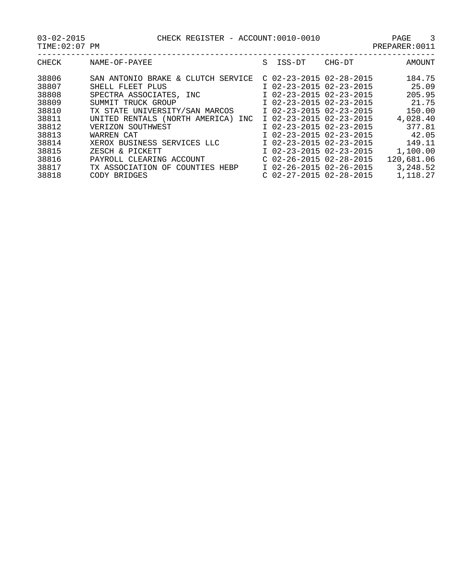03-02-2015 CHECK REGISTER - ACCOUNT:0010-0010 PAGE 3

| TIME:02:07 PM | PREPARER: 0011 |
|---------------|----------------|
|---------------|----------------|

| CHECK | NAME-OF-PAYEE                         | S | ISS-DT                    | CHG-DT                    | AMOUNT     |
|-------|---------------------------------------|---|---------------------------|---------------------------|------------|
| 38806 | SAN ANTONIO BRAKE & CLUTCH SERVICE    |   |                           | $C$ 02-23-2015 02-28-2015 | 184.75     |
| 38807 | SHELL FLEET PLUS                      |   | I 02-23-2015 02-23-2015   |                           | 25.09      |
| 38808 | SPECTRA ASSOCIATES, INC               |   | I 02-23-2015 02-23-2015   |                           | 205.95     |
| 38809 | SUMMIT TRUCK GROUP                    |   | I 02-23-2015 02-23-2015   |                           | 21.75      |
| 38810 | TX STATE UNIVERSITY/SAN MARCOS        |   | I 02-23-2015 02-23-2015   |                           | 150.00     |
| 38811 | UNITED RENTALS (NORTH AMERICA)<br>INC |   |                           | I 02-23-2015 02-23-2015   | 4,028.40   |
| 38812 | VERIZON SOUTHWEST                     |   | I 02-23-2015 02-23-2015   |                           | 377.81     |
| 38813 | WARREN CAT                            |   | I 02-23-2015 02-23-2015   |                           | 42.05      |
| 38814 | XEROX BUSINESS SERVICES LLC           |   | I 02-23-2015 02-23-2015   |                           | 149.11     |
| 38815 | ZESCH & PICKETT                       |   |                           | I 02-23-2015 02-23-2015   | 1,100.00   |
| 38816 | PAYROLL CLEARING ACCOUNT              |   |                           | $C$ 02-26-2015 02-28-2015 | 120,681.06 |
| 38817 | TX ASSOCIATION OF COUNTIES HEBP       |   |                           | I 02-26-2015 02-26-2015   | 3,248.52   |
| 38818 | CODY BRIDGES                          |   | $C$ 02-27-2015 02-28-2015 |                           | 1,118.27   |
|       |                                       |   |                           |                           |            |